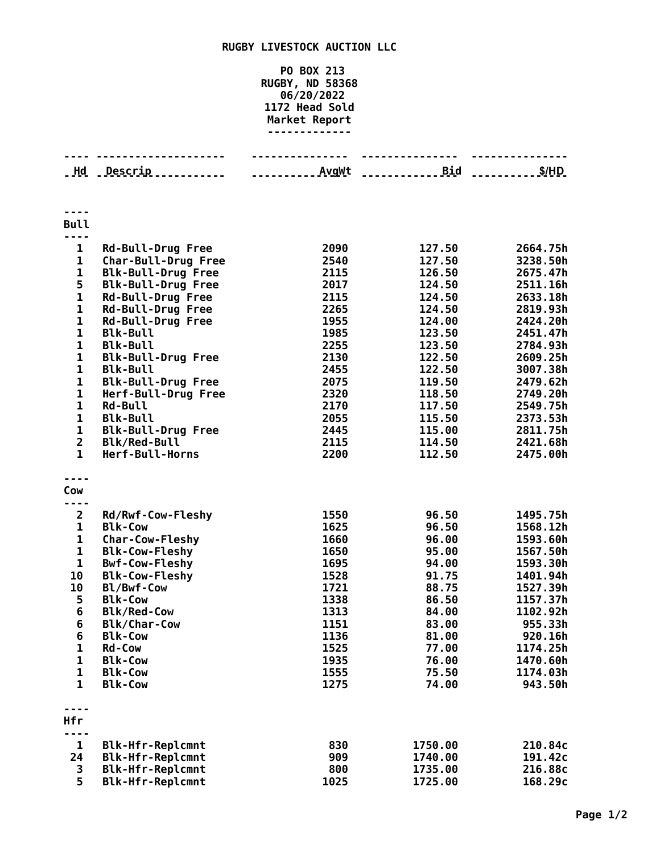## **RUGBY LIVESTOCK AUCTION LLC**

## **PO BOX 213 RUGBY, ND 58368 06/20/2022 Head Sold Market Report**

|                              | . <u>.</u>                                           | <u></u>      | <u>.</u>         |                      |  |  |
|------------------------------|------------------------------------------------------|--------------|------------------|----------------------|--|--|
|                              | Hd Descrip<br>. <b>.</b> .                           |              |                  |                      |  |  |
|                              |                                                      |              |                  |                      |  |  |
|                              |                                                      |              |                  |                      |  |  |
| <b>Bull</b><br>---           |                                                      |              |                  |                      |  |  |
| 1                            | <b>Rd-Bull-Drug Free</b>                             | 2090         | 127.50           | 2664.75h             |  |  |
| 1                            | Char-Bull-Drug Free                                  | 2540         | 127.50           | 3238.50h             |  |  |
| $\mathbf{1}$                 | <b>Blk-Bull-Drug Free</b>                            | 2115         | 126.50           | 2675.47h             |  |  |
| 5                            | <b>Blk-Bull-Drug Free</b>                            | 2017         | 124.50           | 2511.16h             |  |  |
| 1<br>$\mathbf 1$             | <b>Rd-Bull-Drug Free</b>                             | 2115<br>2265 | 124.50<br>124.50 | 2633.18h             |  |  |
| $\mathbf{1}$                 | <b>Rd-Bull-Drug Free</b><br><b>Rd-Bull-Drug Free</b> | 1955         | 124.00           | 2819.93h<br>2424.20h |  |  |
| $\mathbf 1$                  | <b>Blk-Bull</b>                                      | 1985         | 123.50           | 2451.47h             |  |  |
| 1                            | <b>Blk-Bull</b>                                      | 2255         | 123.50           | 2784.93h             |  |  |
| 1                            | <b>Blk-Bull-Drug Free</b>                            | 2130         | 122.50           | 2609.25h             |  |  |
| $\mathbf{1}$                 | <b>Blk-Bull</b>                                      | 2455         | 122.50           | 3007.38h             |  |  |
| $\mathbf 1$                  | <b>Blk-Bull-Drug Free</b>                            | 2075         | 119.50           | 2479.62h             |  |  |
| 1                            | Herf-Bull-Drug Free                                  | 2320         | 118.50           | 2749.20h             |  |  |
| $\mathbf{1}$<br>$\mathbf{1}$ | <b>Rd-Bull</b><br><b>Blk-Bull</b>                    | 2170<br>2055 | 117.50<br>115.50 | 2549.75h<br>2373.53h |  |  |
| 1                            | <b>Blk-Bull-Drug Free</b>                            | 2445         | 115.00           | 2811.75h             |  |  |
| $\overline{2}$               | <b>Blk/Red-Bull</b>                                  | 2115         | 114.50           | 2421.68h             |  |  |
| $\mathbf{1}$                 | Herf-Bull-Horns                                      | 2200         | 112.50           | 2475.00h             |  |  |
| ---<br>Cow                   |                                                      |              |                  |                      |  |  |
|                              |                                                      |              |                  |                      |  |  |
| $\overline{2}$               | Rd/Rwf-Cow-Fleshy                                    | 1550         | 96.50            | 1495.75h             |  |  |
| 1                            | <b>Blk-Cow</b>                                       | 1625         | 96.50            | 1568.12h             |  |  |
| 1                            | <b>Char-Cow-Fleshy</b>                               | 1660         | 96.00            | 1593.60h             |  |  |
| 1                            | <b>Blk-Cow-Fleshy</b>                                | 1650         | 95.00            | 1567.50h             |  |  |
| 1<br>10                      | <b>Bwf-Cow-Fleshy</b><br><b>Blk-Cow-Fleshy</b>       | 1695<br>1528 | 94.00<br>91.75   | 1593.30h<br>1401.94h |  |  |
| 10                           | Bl/Bwf-Cow                                           | 1721         | 88.75            | 1527.39h             |  |  |
| 5                            | <b>Blk-Cow</b>                                       | 1338         | 86.50            | 1157.37h             |  |  |
| 6                            | Blk/Red-Cow                                          | 1313         | 84.00            | 1102.92h             |  |  |
| 6                            | <b>Blk/Char-Cow</b>                                  | 1151         | 83.00            | 955.33h              |  |  |
| 6                            | <b>Blk-Cow</b>                                       | 1136         | 81.00            | 920.16h              |  |  |
| 1                            | <b>Rd-Cow</b>                                        | 1525         | 77.00            | 1174.25h             |  |  |
| $\mathbf 1$<br>$\mathbf 1$   | <b>Blk-Cow</b><br><b>Blk-Cow</b>                     | 1935<br>1555 | 76.00<br>75.50   | 1470.60h             |  |  |
| $\mathbf{1}$                 | <b>Blk-Cow</b>                                       | 1275         | 74.00            | 1174.03h<br>943.50h  |  |  |
|                              |                                                      |              |                  |                      |  |  |
| Hfr                          |                                                      |              |                  |                      |  |  |
| 1                            | <b>Blk-Hfr-Replcmnt</b>                              | 830          | 1750.00          | 210.84c              |  |  |
| 24                           | <b>Blk-Hfr-Replcmnt</b>                              | 909          | 1740.00          | 191.42c              |  |  |
| 3                            | <b>Blk-Hfr-Replcmnt</b>                              | 800          | 1735.00          | 216.88c              |  |  |
| 5                            | <b>Blk-Hfr-Replcmnt</b>                              | 1025         | 1725.00          | 168.29c              |  |  |